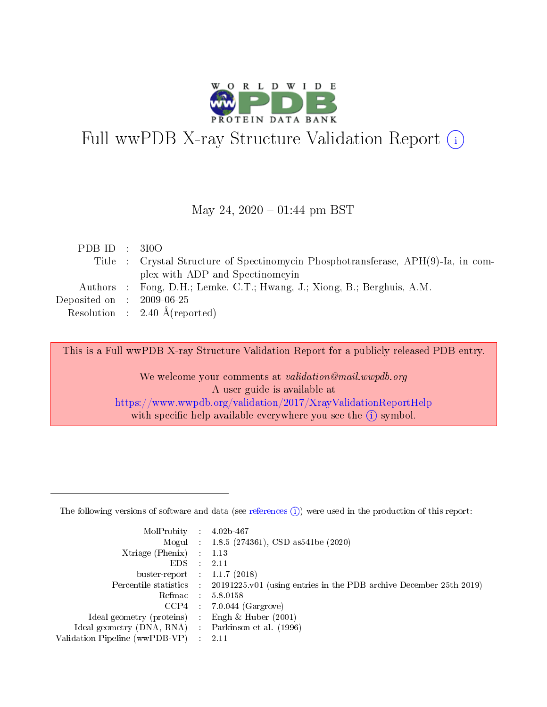

# Full wwPDB X-ray Structure Validation Report (i)

#### May 24,  $2020 - 01:44$  pm BST

| PDBID : 310O                |                                                                                   |
|-----------------------------|-----------------------------------------------------------------------------------|
|                             | Title : Crystal Structure of Spectinomycin Phosphotransferase, APH(9)-Ia, in com- |
|                             | plex with ADP and Spectinomeyin                                                   |
|                             | Authors : Fong, D.H.; Lemke, C.T.; Hwang, J.; Xiong, B.; Berghuis, A.M.           |
| Deposited on : $2009-06-25$ |                                                                                   |
|                             | Resolution : $2.40 \text{ Å}$ (reported)                                          |

This is a Full wwPDB X-ray Structure Validation Report for a publicly released PDB entry.

We welcome your comments at validation@mail.wwpdb.org A user guide is available at <https://www.wwpdb.org/validation/2017/XrayValidationReportHelp> with specific help available everywhere you see the  $(i)$  symbol.

The following versions of software and data (see [references](https://www.wwpdb.org/validation/2017/XrayValidationReportHelp#references)  $(1)$ ) were used in the production of this report:

| MolProbity :                   |               | $4.02b - 467$                                                                |
|--------------------------------|---------------|------------------------------------------------------------------------------|
|                                |               | Mogul : $1.8.5$ (274361), CSD as 541be (2020)                                |
| Xtriage (Phenix)               | $\mathcal{L}$ | 1.13                                                                         |
| EDS.                           |               | 2.11                                                                         |
| buster-report : $1.1.7$ (2018) |               |                                                                              |
| Percentile statistics :        |               | $20191225 \text{ v}01$ (using entries in the PDB archive December 25th 2019) |
| Refmac :                       |               | 5.8.0158                                                                     |
| CCP4                           |               | $7.0.044$ (Gargrove)                                                         |
| Ideal geometry (proteins) :    |               | Engh $\&$ Huber (2001)                                                       |
| Ideal geometry (DNA, RNA) :    |               | Parkinson et al. (1996)                                                      |
| Validation Pipeline (wwPDB-VP) | $\mathcal{L}$ | 2.11                                                                         |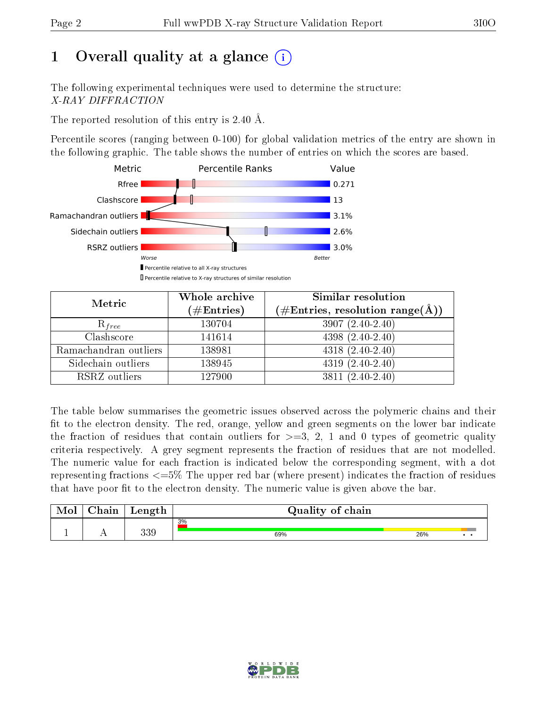# 1 [O](https://www.wwpdb.org/validation/2017/XrayValidationReportHelp#overall_quality)verall quality at a glance  $(i)$

The following experimental techniques were used to determine the structure: X-RAY DIFFRACTION

The reported resolution of this entry is 2.40 Å.

Percentile scores (ranging between 0-100) for global validation metrics of the entry are shown in the following graphic. The table shows the number of entries on which the scores are based.



| Metric                | Whole archive<br>$(\#\text{Entries})$ | Similar resolution<br>$(\#\text{Entries},\,\text{resolution}\,\,\text{range}(\textup{\AA}))$ |  |  |
|-----------------------|---------------------------------------|----------------------------------------------------------------------------------------------|--|--|
| $R_{free}$            | 130704                                | $3907(2.40-2.40)$                                                                            |  |  |
| Clashscore            | 141614                                | $4398(2.40-2.40)$                                                                            |  |  |
| Ramachandran outliers | 138981                                | $4318 (2.40 - 2.40)$                                                                         |  |  |
| Sidechain outliers    | 138945                                | $4319(2.40-2.40)$                                                                            |  |  |
| RSRZ outliers         | 127900                                | $3811(2.40-2.40)$                                                                            |  |  |

The table below summarises the geometric issues observed across the polymeric chains and their fit to the electron density. The red, orange, yellow and green segments on the lower bar indicate the fraction of residues that contain outliers for  $>=3, 2, 1$  and 0 types of geometric quality criteria respectively. A grey segment represents the fraction of residues that are not modelled. The numeric value for each fraction is indicated below the corresponding segment, with a dot representing fractions  $\epsilon=5\%$  The upper red bar (where present) indicates the fraction of residues that have poor fit to the electron density. The numeric value is given above the bar.

| Mol | $\gamma$ hain | Length | Quality of chain |     |  |  |  |  |  |
|-----|---------------|--------|------------------|-----|--|--|--|--|--|
|     |               |        | 3%               |     |  |  |  |  |  |
|     |               | 339    | 69%              | 26% |  |  |  |  |  |

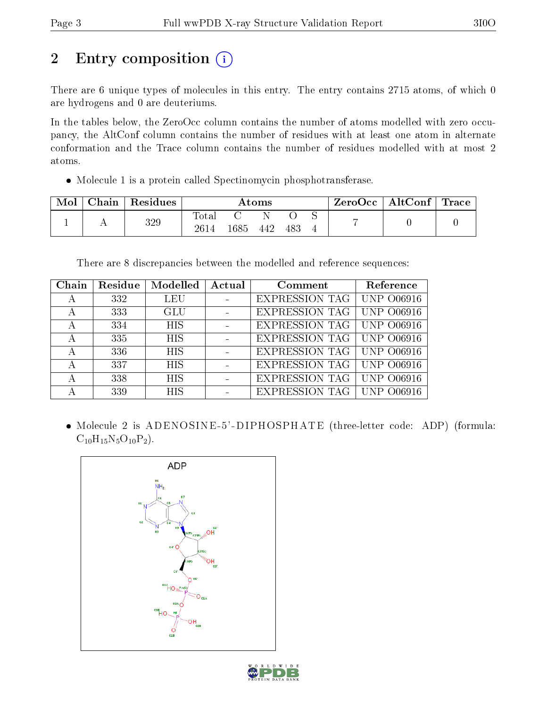# 2 Entry composition (i)

There are 6 unique types of molecules in this entry. The entry contains 2715 atoms, of which 0 are hydrogens and 0 are deuteriums.

In the tables below, the ZeroOcc column contains the number of atoms modelled with zero occupancy, the AltConf column contains the number of residues with at least one atom in alternate conformation and the Trace column contains the number of residues modelled with at most 2 atoms.

Molecule 1 is a protein called Spectinomycin phosphotransferase.

| Mol | Chain | $\perp$ Residues | $\bm{\mathrm{Atoms}}$ |      |     |     | $\text{ZeroOcc}$   AltConf   Trace |  |  |
|-----|-------|------------------|-----------------------|------|-----|-----|------------------------------------|--|--|
|     |       | 329              | <b>Total</b><br>2614  | 1685 | 442 | 483 |                                    |  |  |

There are 8 discrepancies between the modelled and reference sequences:

| Chain | Residue | Modelled   | Actual | Comment               | Reference         |
|-------|---------|------------|--------|-----------------------|-------------------|
| A     | 332     | <b>LEU</b> |        | <b>EXPRESSION TAG</b> | <b>UNP 006916</b> |
| А     | 333     | GLU        |        | <b>EXPRESSION TAG</b> | <b>UNP 006916</b> |
| А     | 334     | <b>HIS</b> |        | <b>EXPRESSION TAG</b> | <b>UNP 006916</b> |
| А     | 335     | <b>HIS</b> |        | <b>EXPRESSION TAG</b> | <b>UNP 006916</b> |
| А     | 336     | <b>HIS</b> |        | <b>EXPRESSION TAG</b> | <b>UNP 006916</b> |
| А     | 337     | <b>HIS</b> |        | <b>EXPRESSION TAG</b> | <b>UNP 006916</b> |
| А     | 338     | <b>HIS</b> |        | <b>EXPRESSION TAG</b> | <b>UNP 006916</b> |
| А     | 339     | <b>HIS</b> |        | <b>EXPRESSION TAG</b> | UNP .<br>O06916   |

• Molecule 2 is ADENOSINE-5'-DIPHOSPHATE (three-letter code: ADP) (formula:  $C_{10}H_{15}N_5O_{10}P_2$ .



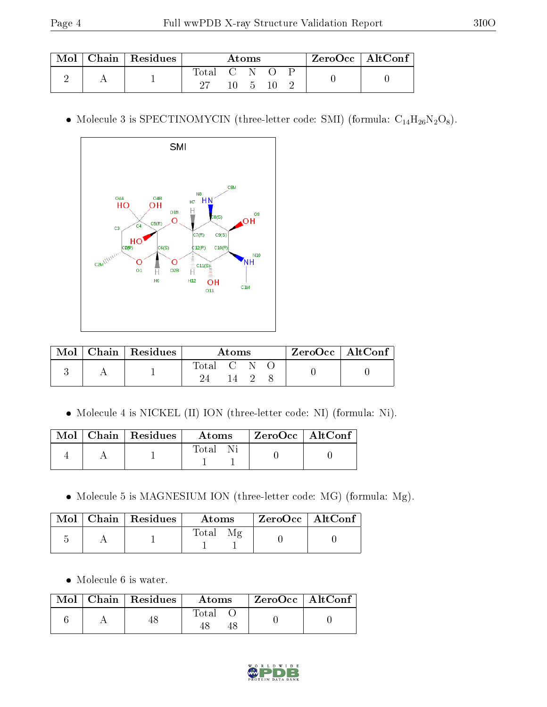| Mol | Chain   Residues | Atoms     |  |  |  | $ZeroOcc \mid AltConf$ |  |  |
|-----|------------------|-----------|--|--|--|------------------------|--|--|
|     |                  | Total C N |  |  |  |                        |  |  |

 $\bullet$  Molecule 3 is SPECTINOMYCIN (three-letter code: SMI) (formula:  $\rm{C_{14}H_{26}N_2O_8}).$ 



| Mol | $ $ Chain $ $ Residues | Atoms                         |  |  |  | $ZeroOcc \mid AltConf \mid$ |
|-----|------------------------|-------------------------------|--|--|--|-----------------------------|
|     |                        | $\mathrm{Total}$ $\mathrm{C}$ |  |  |  |                             |
|     |                        |                               |  |  |  |                             |

Molecule 4 is NICKEL (II) ION (three-letter code: NI) (formula: Ni).

|  | $\text{Mol}$   Chain   Residues | – A toms | ZeroOcc   AltConf |  |
|--|---------------------------------|----------|-------------------|--|
|  |                                 | Total Ni |                   |  |

 $\bullet$  Molecule 5 is MAGNESIUM ION (three-letter code: MG) (formula: Mg).

|  | Mol   Chain   Residues | Atoms              | $\mid$ ZeroOcc $\mid$ AltConf $\mid$ |  |
|--|------------------------|--------------------|--------------------------------------|--|
|  |                        | <b>Total</b><br>Μg |                                      |  |

Molecule 6 is water.

|  | $Mol$   Chain   Residues | Atoms | ZeroOcc   AltConf |
|--|--------------------------|-------|-------------------|
|  |                          | Total |                   |

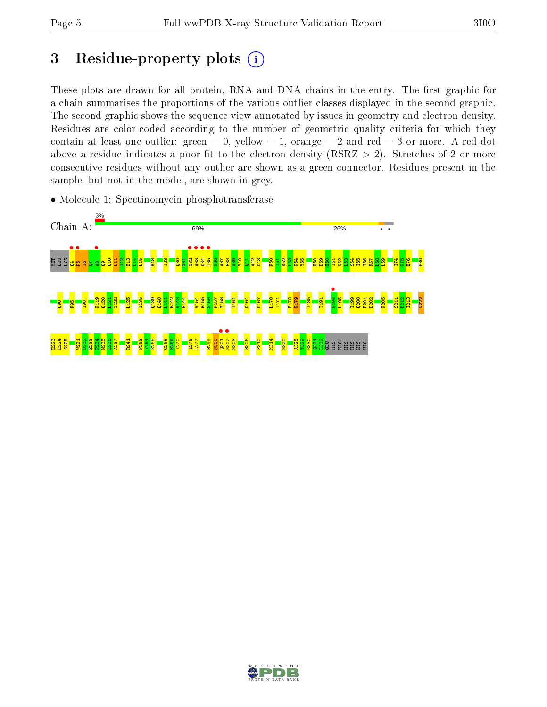# 3 Residue-property plots  $(i)$

These plots are drawn for all protein, RNA and DNA chains in the entry. The first graphic for a chain summarises the proportions of the various outlier classes displayed in the second graphic. The second graphic shows the sequence view annotated by issues in geometry and electron density. Residues are color-coded according to the number of geometric quality criteria for which they contain at least one outlier: green  $= 0$ , yellow  $= 1$ , orange  $= 2$  and red  $= 3$  or more. A red dot above a residue indicates a poor fit to the electron density (RSRZ  $> 2$ ). Stretches of 2 or more consecutive residues without any outlier are shown as a green connector. Residues present in the sample, but not in the model, are shown in grey.



• Molecule 1: Spectinomycin phosphotransferase

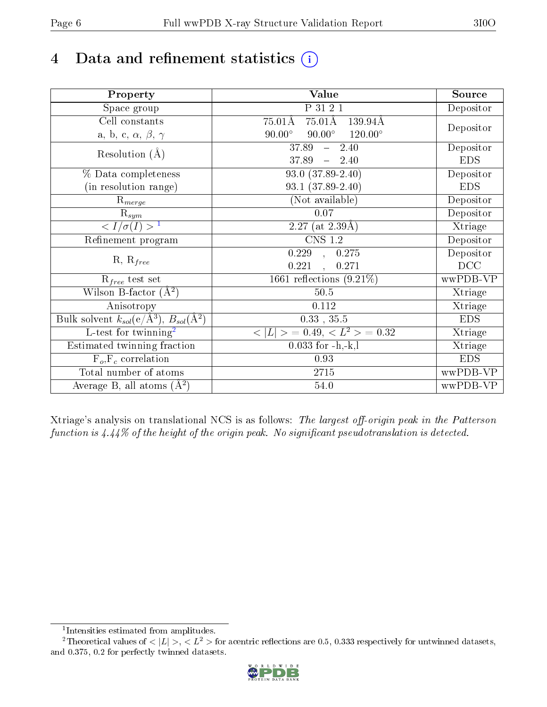# 4 Data and refinement statistics  $(i)$

| Property                                                             | Value                                              | Source     |
|----------------------------------------------------------------------|----------------------------------------------------|------------|
| Space group                                                          | P 31 2 1                                           | Depositor  |
| Cell constants                                                       | $75.01\text{\AA}$<br>139.94Å<br>$75.01\text{\AA}$  |            |
| a, b, c, $\alpha$ , $\beta$ , $\gamma$                               | $90.00^\circ$<br>$90.00^\circ$<br>$120.00^{\circ}$ | Depositor  |
| Resolution $(A)$                                                     | 37.89<br>2.40<br>$\frac{1}{2}$                     | Depositor  |
|                                                                      | 37.89<br>$-2.40$                                   | <b>EDS</b> |
| % Data completeness                                                  | 93.0 (37.89-2.40)                                  | Depositor  |
| (in resolution range)                                                | $93.1(37.89-2.40)$                                 | <b>EDS</b> |
| $R_{merge}$                                                          | (Not available)                                    | Depositor  |
| $\mathrm{R}_{sym}$                                                   | 0.07                                               | Depositor  |
| $\sqrt{I/\sigma(I)} > 1$                                             | $2.27$ (at $2.39\text{\AA}$ )                      | Xtriage    |
| Refinement program                                                   | $\overline{\text{CNS} 1.2}$                        | Depositor  |
|                                                                      | 0.229<br>0.275<br>$\sim$                           | Depositor  |
| $R, R_{free}$                                                        | 0.221<br>0.271<br>$\mathcal{L}_{\mathcal{A}}$      | DCC        |
| $\mathcal{R}_{free}$ test set                                        | 1661 reflections $(9.21\%)$                        | wwPDB-VP   |
| Wilson B-factor $(A^2)$                                              | 50.5                                               | Xtriage    |
| Anisotropy                                                           | 0.112                                              | Xtriage    |
| Bulk solvent $k_{sol}(e/\mathring{A}^3)$ , $B_{sol}(\mathring{A}^2)$ | $0.33\,$ , $35.5\,$                                | <b>EDS</b> |
| L-test for twinning <sup>2</sup>                                     | $< L >$ = 0.49, $< L2$ = 0.32                      | Xtriage    |
| Estimated twinning fraction                                          | $0.033$ for $-h,-k,l$                              | Xtriage    |
| $F_o, F_c$ correlation                                               | 0.93                                               | <b>EDS</b> |
| Total number of atoms                                                | $2715\,$                                           | wwPDB-VP   |
| Average B, all atoms $(A^2)$                                         | 54.0                                               | wwPDB-VP   |

Xtriage's analysis on translational NCS is as follows: The largest off-origin peak in the Patterson function is  $4.44\%$  of the height of the origin peak. No significant pseudotranslation is detected.

<sup>&</sup>lt;sup>2</sup>Theoretical values of  $\langle |L| \rangle$ ,  $\langle L^2 \rangle$  for acentric reflections are 0.5, 0.333 respectively for untwinned datasets, and 0.375, 0.2 for perfectly twinned datasets.



<span id="page-5-1"></span><span id="page-5-0"></span><sup>1</sup> Intensities estimated from amplitudes.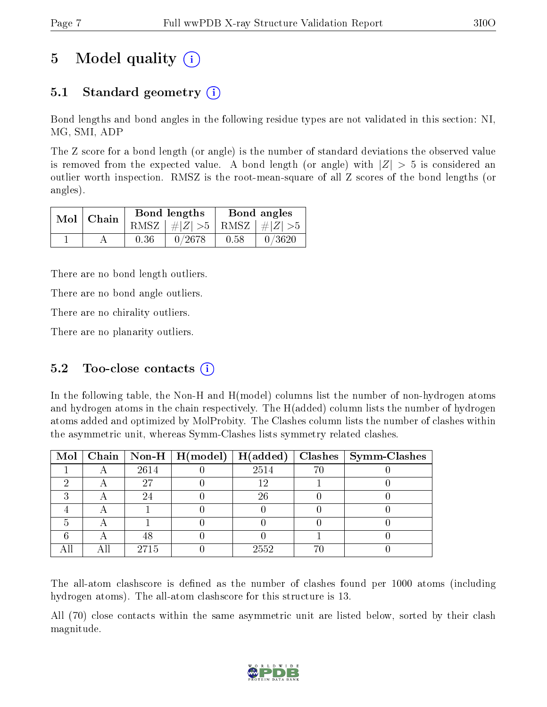## 5 Model quality  $(i)$

### 5.1 Standard geometry (i)

Bond lengths and bond angles in the following residue types are not validated in this section: NI, MG, SMI, ADP

The Z score for a bond length (or angle) is the number of standard deviations the observed value is removed from the expected value. A bond length (or angle) with  $|Z| > 5$  is considered an outlier worth inspection. RMSZ is the root-mean-square of all Z scores of the bond lengths (or angles).

| $Mol$   Chain |      | Bond lengths                    | Bond angles |        |  |
|---------------|------|---------------------------------|-------------|--------|--|
|               |      | RMSZ $ #Z  > 5$ RMSZ $ #Z  > 5$ |             |        |  |
|               | 0.36 | 0/2678                          | 0.58        | 0/3620 |  |

There are no bond length outliers.

There are no bond angle outliers.

There are no chirality outliers.

There are no planarity outliers.

#### 5.2 Too-close contacts  $(i)$

In the following table, the Non-H and H(model) columns list the number of non-hydrogen atoms and hydrogen atoms in the chain respectively. The H(added) column lists the number of hydrogen atoms added and optimized by MolProbity. The Clashes column lists the number of clashes within the asymmetric unit, whereas Symm-Clashes lists symmetry related clashes.

|  |      | Mol   Chain   Non-H   $H (model)$   $H (added)$ |      |    | $\vert$ Clashes $\vert$ Symm-Clashes |
|--|------|-------------------------------------------------|------|----|--------------------------------------|
|  | 2614 |                                                 | 2514 |    |                                      |
|  | 27   |                                                 | 12   |    |                                      |
|  |      |                                                 | 26   |    |                                      |
|  |      |                                                 |      |    |                                      |
|  |      |                                                 |      |    |                                      |
|  | 48   |                                                 |      |    |                                      |
|  | 2715 |                                                 | 2552 | 71 |                                      |

The all-atom clashscore is defined as the number of clashes found per 1000 atoms (including hydrogen atoms). The all-atom clashscore for this structure is 13.

All (70) close contacts within the same asymmetric unit are listed below, sorted by their clash magnitude.

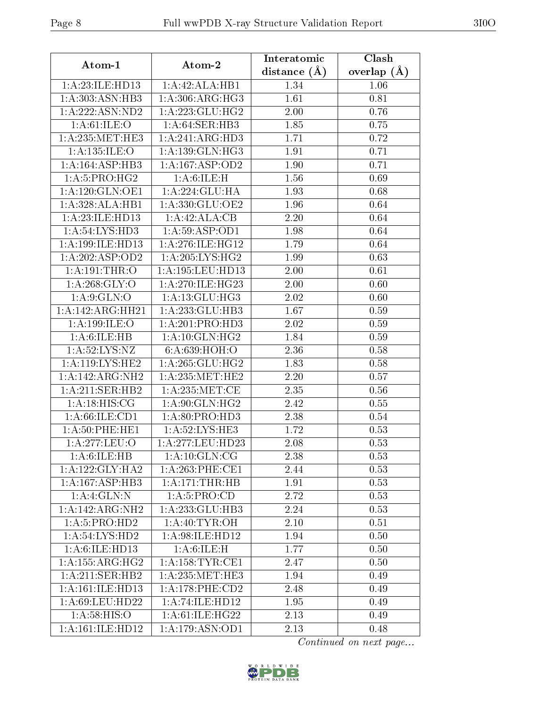| Atom-1              | Atom-2                         | Interatomic    | Clash           |  |
|---------------------|--------------------------------|----------------|-----------------|--|
|                     |                                | distance $(A)$ | overlap $(\AA)$ |  |
| 1:A:23:ILE:HD13     | 1:A:42:ALA:HB1                 | 1.34           | 1.06            |  |
| 1: A: 303: ASN: HB3 | 1: A:306: ARG: HG3             | 1.61           | 0.81            |  |
| 1:A:222:ASN:ND2     | 1:A:223:GLU:HG2                | 2.00           | 0.76            |  |
| 1: A:61:ILE:O       | 1: A:64:SER:HB3                | 1.85           | 0.75            |  |
| 1: A:235:MET:HE3    | 1:A:241:ARG:HD3                | 1.71           | 0.72            |  |
| 1:A:135:ILE:O       | 1: A: 139: GLN: HG3            | 1.91           | 0.71            |  |
| 1: A: 164: ASP: HB3 | 1: A: 167: ASP: OD2            | 1.90           | 0.71            |  |
| 1: A:5: PRO:HG2     | 1: A:6: ILE:H                  | 1.56           | 0.69            |  |
| 1:A:120:GLN:OE1     | 1:A:224:GLU:HA                 | 1.93           | 0.68            |  |
| 1:A:328:ALA:HB1     | 1: A: 330: GLU: OE2            | 1.96           | 0.64            |  |
| 1: A:23: ILE: HD13  | 1:A:42:ALA:CB                  | 2.20           | 0.64            |  |
| 1:A:54:LYS:HD3      | 1: A:59: ASP:OD1               | 1.98           | 0.64            |  |
| 1:A:199:ILE:HD13    | 1: A:276: ILE: HG12            | 1.79           | 0.64            |  |
| 1:A:202:ASP:OD2     | 1: A:205:LYS:HG2               | 1.99           | 0.63            |  |
| $1:$ A:191:THR:O    | 1:A:195:LEU:HD13               | 2.00           | 0.61            |  |
| 1:A:268:GLY:O       | 1: A:270: ILE: HG23            | 2.00           | 0.60            |  |
| 1: A:9: GLN:O       | 1: A:13: GLU: HG3              | 2.02           | 0.60            |  |
| 1:A:142:ARG:HH21    | 1:A:233:GLU:HB3                | 1.67           | 0.59            |  |
| 1:A:199:ILE:O       | 1:A:201:PRO:HD3                | 2.02           | 0.59            |  |
| 1:A:6:ILE:HB        | 1: A:10: GLN: HG2              | 1.84           | 0.59            |  |
| 1: A:52: LYS: NZ    | 6:A:639:HOH:O                  | 2.36           | 0.58            |  |
| 1: A:119: LYS: HE2  | 1: A:265: GLU:HG2              | 1.83           | 0.58            |  |
| 1:A:142:ARG:NH2     | 1: A:235:MET:HE2               | 2.20           | 0.57            |  |
| 1: A:211: SER: HB2  | 1: A:235:MET:CE                | 2.35           | 0.56            |  |
| 1: A:18: HIS: CG    | 1:A:90:GLN:HG2                 | 2.42           | 0.55            |  |
| 1: A:66: ILE: CD1   | 1: A:80: PRO:HD3               | 2.38           | 0.54            |  |
| 1: A:50: PHE: HE1   | 1:A:52:LYS:HE3                 | 1.72           | 0.53            |  |
| 1: A:277:LEU:O      | 1: A: 277: LEU: HD23           | 2.08           | 0.53            |  |
| 1: A:6: ILE: HB     | 1: A:10: GLN:CG                | 2.38           | 0.53            |  |
| 1:A:122:GLY:HA2     | 1: A:263:PHE:CE1               | 2.44           | 0.53            |  |
| 1: A: 167: ASP: HB3 | 1: A:171:THR:HB                | 1.91           | 0.53            |  |
| 1:A:4:GLN:N         | 1: A:5: PRO:CD                 | 2.72           | 0.53            |  |
| 1:A:142:ARG:NH2     | 1: A:233: GLU:HB3              | 2.24           | 0.53            |  |
| 1: A: 5: PRO: HD2   | 1: A:40: TYR:OH                | 2.10           | 0.51            |  |
| 1: A:54: LYS:HD2    | 1: A:98: ILE: HD12             | 1.94           | 0.50            |  |
| 1: A:6: ILE: HD13   | 1: A:6: ILE:H                  | 1.77           | 0.50            |  |
| 1: A: 155: ARG: HG2 | 1:A:158:TYR:CE1                | 2.47           | 0.50            |  |
| 1:A:211:SER:HB2     | 1: A: 235: MET: HE3            | 1.94           | 0.49            |  |
| 1: A:161: ILE: HD13 | 1: A:178: PHE:CD2              | 2.48           | 0.49            |  |
| 1:A:69:LEU:HD22     | 1:A:74:ILE:HD12                | 1.95           | 0.49            |  |
| 1: A:58: HIS:O      | 1:A:61:ILE:HG22                | 2.13           | 0.49            |  |
| 1: A:161: ILE: HD12 | $1: A:179: \overline{ASN:OD1}$ | 2.13           | 0.48            |  |

Continued on next page...

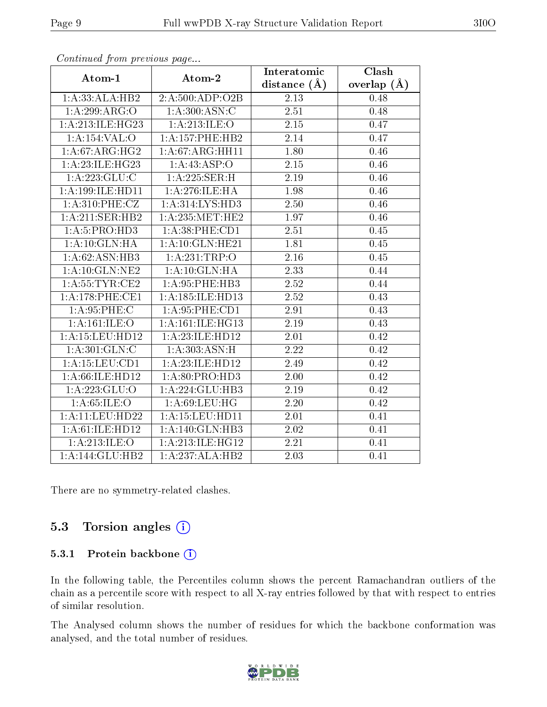| $P$ . The set of $P$ is the set of $P$ and $P$ and $P$ |                      | Interatomic       | $\overline{\text{Clash}}$ |
|--------------------------------------------------------|----------------------|-------------------|---------------------------|
| Atom-1                                                 | Atom-2               | distance $(A)$    | overlap $(A)$             |
| 1:A:33:ALA:HB2                                         | 2:A:500:ADP:O2B      | 2.13              | 0.48                      |
| 1:A:299:ARG:O                                          | 1: A:300:ASN:C       | $2.51\,$          | 0.48                      |
| 1:A:213:ILE:HG23                                       | 1:A:213:ILE:O        | 2.15              | 0.47                      |
| 1:A:154:VAL:O                                          | 1:A:157:PHE:HB2      | 2.14              | 0.47                      |
| 1: A:67: ARG: HG2                                      | 1: A:67: ARG: HH11   | 1.80              | 0.46                      |
| 1: A:23: ILE: HG23                                     | 1:A:43:ASP:O         | 2.15              | 0.46                      |
| 1:A:223:GLU:C                                          | 1: A:225: SER:H      | 2.19              | 0.46                      |
| 1:A:199:ILE:HD11                                       | 1: A:276: ILE: HA    | 1.98              | 0.46                      |
| 1: A:310: PHE: CZ                                      | 1: A:314: LYS: HD3   | 2.50              | 0.46                      |
| 1:A:211:SER:HB2                                        | 1: A:235:MET:HE2     | 1.97              | 0.46                      |
| 1: A:5: PRO:HD3                                        | 1: A:38: PHE:CD1     | 2.51              | 0.45                      |
| 1:A:10:GLN:HA                                          | 1:A:10:GLN:HE21      | 1.81              | 0.45                      |
| 1:A:62:ASN:HB3                                         | 1:A:231:TRP:O        | 2.16              | 0.45                      |
| 1: A:10: GLN: NE2                                      | 1: A:10: GLN: HA     | $\overline{2.33}$ | 0.44                      |
| 1: A: 55: TYR: CE2                                     | 1:A:95:PHE:HB3       | 2.52              | 0.44                      |
| 1: A:178: PHE:CE1                                      | 1: A: 185: ILE: HD13 | 2.52              | 0.43                      |
| 1: A:95:PHE:C                                          | 1: A:95:PHE:CD1      | 2.91              | 0.43                      |
| 1: A:161: ILE: O                                       | 1: A:161: ILE: HG13  | 2.19              | 0.43                      |
| 1:A:15:LEU:HD12                                        | 1:A:23:ILE:HD12      | 2.01              | 0.42                      |
| 1: A:301: GLN: C                                       | 1:A:303:ASN:H        | 2.22              | 0.42                      |
| 1:A:15:LEU:CD1                                         | 1:A:23:ILE:HD12      | 2.49              | 0.42                      |
| 1: A:66: ILE: HD12                                     | 1: A:80: PRO:HD3     | 2.00              | 0.42                      |
| 1:A:223:GLU:O                                          | 1:A:224:GLU:HB3      | 2.19              | 0.42                      |
| 1: A:65:ILE:O                                          | 1: A:69:LEU:HG       | 2.20              | 0.42                      |
| 1:A:11:LEU:HD22                                        | 1: A: 15: LEU: HD11  | 2.01              | 0.41                      |
| 1:A:61:ILE:HD12                                        | 1: A:140: GLN:HB3    | 2.02              | 0.41                      |
| 1:A:213:ILE:O                                          | 1:A:213:ILE:HG12     | $\overline{2.21}$ | 0.41                      |
| 1:A:144:GLU:HB2                                        | 1:A:237:ALA:HB2      | 2.03              | 0.41                      |

Continued from previous page...

There are no symmetry-related clashes.

### 5.3 Torsion angles  $(i)$

#### 5.3.1 Protein backbone (i)

In the following table, the Percentiles column shows the percent Ramachandran outliers of the chain as a percentile score with respect to all X-ray entries followed by that with respect to entries of similar resolution.

The Analysed column shows the number of residues for which the backbone conformation was analysed, and the total number of residues.

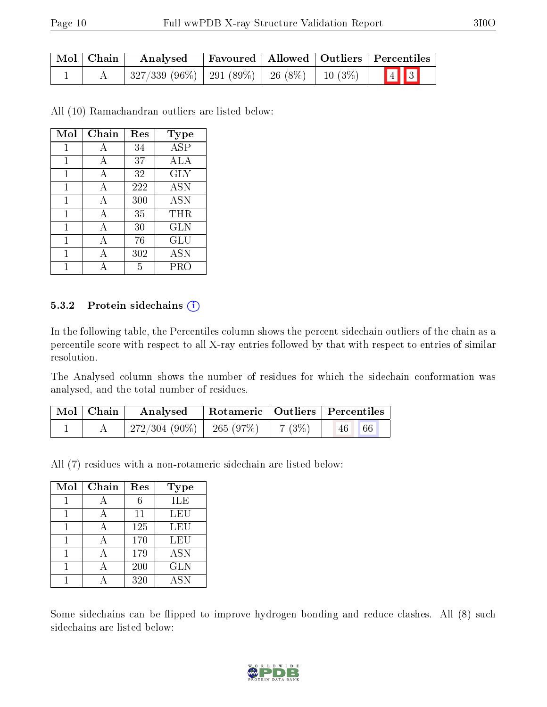| Mol   Chain | $\boldsymbol{\mathrm{Analysed}}$                     | Favoured   Allowed   Outliers   Percentiles |  |                                                      |  |  |
|-------------|------------------------------------------------------|---------------------------------------------|--|------------------------------------------------------|--|--|
|             | $\mid$ 327/339 (96%)   291 (89%)   26 (8%)   10 (3%) |                                             |  | $\begin{array}{ c c c }\n\hline\n4 & 3\n\end{array}$ |  |  |

All (10) Ramachandran outliers are listed below:

| Mol | Chain | Res | Type       |
|-----|-------|-----|------------|
| 1   | А     | 34  | ASP        |
| 1   | A     | 37  | ALA        |
| 1   | А     | 32  | <b>GLY</b> |
| 1   | A     | 222 | <b>ASN</b> |
| 1   | А     | 300 | <b>ASN</b> |
| 1   | A     | 35  | THR        |
| 1   | А     | 30  | <b>GLN</b> |
| 1   | А     | 76  | GLU        |
| 1   | А     | 302 | ASN        |
|     |       | 5   | PRO        |

#### 5.3.2 Protein sidechains  $(i)$

In the following table, the Percentiles column shows the percent sidechain outliers of the chain as a percentile score with respect to all X-ray entries followed by that with respect to entries of similar resolution.

The Analysed column shows the number of residues for which the sidechain conformation was analysed, and the total number of residues.

| Mol   Chain | Analysed                                            |            | Rotameric   Outliers   Percentiles |
|-------------|-----------------------------------------------------|------------|------------------------------------|
|             | $^{\prime}$ 272/304 (90%) $\vert$ 265 (97%) $\vert$ | $'$ 7 (3%) | 66 <br>46                          |

All (7) residues with a non-rotameric sidechain are listed below:

| Mol | Chain | Res | <b>Type</b> |
|-----|-------|-----|-------------|
|     |       |     | ILE         |
|     |       | 11  | LEU         |
|     |       | 125 | LEU         |
|     |       | 170 | LEU         |
|     |       | 179 | <b>ASN</b>  |
|     |       | 200 | <b>GLN</b>  |
|     |       | 320 | <b>ASN</b>  |

Some sidechains can be flipped to improve hydrogen bonding and reduce clashes. All (8) such sidechains are listed below:

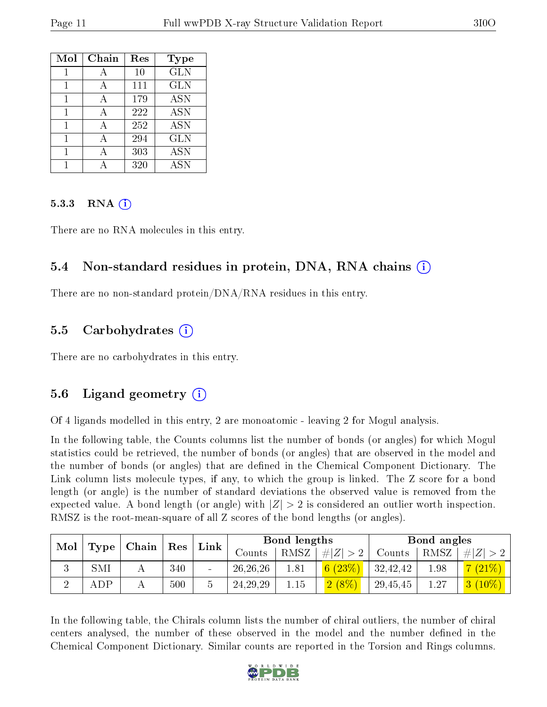| Mol | Chain | Res | <b>Type</b> |
|-----|-------|-----|-------------|
|     |       | 10  | <b>GLN</b>  |
|     |       | 111 | <b>GLN</b>  |
|     |       | 179 | <b>ASN</b>  |
| 1   | А     | 222 | <b>ASN</b>  |
| 1   | A     | 252 | <b>ASN</b>  |
| 1   |       | 294 | <b>GLN</b>  |
| 1   |       | 303 | <b>ASN</b>  |
|     |       | 320 | <b>ASN</b>  |

#### 5.3.3 RNA  $(i)$

There are no RNA molecules in this entry.

#### 5.4 Non-standard residues in protein, DNA, RNA chains  $(i)$

There are no non-standard protein/DNA/RNA residues in this entry.

#### 5.5 Carbohydrates  $(i)$

There are no carbohydrates in this entry.

### 5.6 Ligand geometry  $(i)$

Of 4 ligands modelled in this entry, 2 are monoatomic - leaving 2 for Mogul analysis.

In the following table, the Counts columns list the number of bonds (or angles) for which Mogul statistics could be retrieved, the number of bonds (or angles) that are observed in the model and the number of bonds (or angles) that are defined in the Chemical Component Dictionary. The Link column lists molecule types, if any, to which the group is linked. The Z score for a bond length (or angle) is the number of standard deviations the observed value is removed from the expected value. A bond length (or angle) with  $|Z| > 2$  is considered an outlier worth inspection. RMSZ is the root-mean-square of all Z scores of the bond lengths (or angles).

|                               |            | $\mid$ Chain $\mid$ |     | $\perp$ Res |            |             | Link    |          | Bond lengths |          |  | Bond angles |  |
|-------------------------------|------------|---------------------|-----|-------------|------------|-------------|---------|----------|--------------|----------|--|-------------|--|
| $\mid$ Mol $\mid$ Type $\mid$ |            |                     |     | Counts      | RMSZ       | $\# Z  > 2$ | Counts  | RMSZ     | E            |          |  |             |  |
|                               | SMI        |                     | 340 | -           | 26, 26, 26 | 1.81        | 6(23%)  | 32,42,42 | 1.98         | 7(21%)   |  |             |  |
|                               | <b>ADP</b> |                     | 500 | b           | 24, 29, 29 | 1.15        | (2 (8%) | 29,45,45 | 1.27         | $(10\%)$ |  |             |  |

In the following table, the Chirals column lists the number of chiral outliers, the number of chiral centers analysed, the number of these observed in the model and the number defined in the Chemical Component Dictionary. Similar counts are reported in the Torsion and Rings columns.

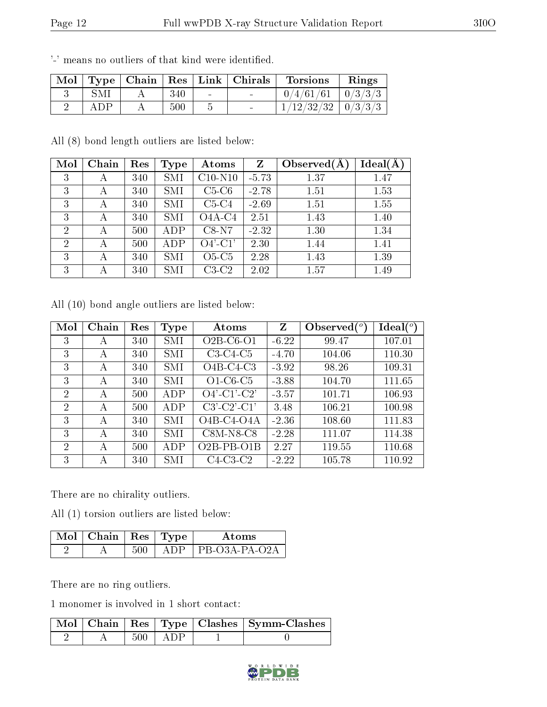| $\lq$ Mol $\lq$ |     |     |        | $\vert$ Type $\vert$ Chain $\vert$ Res $\vert$ Link $\vert$ Chirals | <b>Torsions</b>          | Rings |
|-----------------|-----|-----|--------|---------------------------------------------------------------------|--------------------------|-------|
|                 | SMI | 340 | $\sim$ |                                                                     | $0/4/61/61$   $0/3/3/3$  |       |
|                 | ADP | 500 |        |                                                                     | $1/12/32/32$   $0/3/3/3$ |       |

'-' means no outliers of that kind were identified.

All (8) bond length outliers are listed below:

| Mol            | Chain | Res | Type | Atoms     | Z       | Observed $(A$ | $Ideal(\AA)$ |
|----------------|-------|-----|------|-----------|---------|---------------|--------------|
| 3              | А     | 340 | SMI  | $C10-N10$ | $-5.73$ | 1.37          | 1.47         |
| 3              | А     | 340 | SMI  | $C5-C6$   | $-2.78$ | 1.51          | 1.53         |
| 3              | А     | 340 | SMI  | $C5-C4$   | $-2.69$ | 1.51          | 1.55         |
| 3              | А     | 340 | SMI  | $O4A-C4$  | 2.51    | 1.43          | 1.40         |
| $\overline{2}$ | А     | 500 | ADP  | $C8-N7$   | $-2.32$ | 1.30          | 1.34         |
| $\overline{2}$ | А     | 500 | ADP  | $O4'-C1'$ | 2.30    | 1.44          | 1.41         |
| 3              |       | 340 | SMI  | $O5-C5$   | 2.28    | 1.43          | 1.39         |
| 3              |       | 340 | SMI  | $C3-C2$   | 2.02    | 1.57          | 1.49         |

All (10) bond angle outliers are listed below:

| Mol            | Chain | Res | Type | Atoms                        | Z       | Observed $(°)$ | $\text{Ideal}({}^o)$ |
|----------------|-------|-----|------|------------------------------|---------|----------------|----------------------|
| 3              | А     | 340 | SMI  | $O2B$ -C <sub>6</sub> - $O1$ | $-6.22$ | 99.47          | 107.01               |
| 3              | А     | 340 | SMI  | $C3-C4-C5$                   | $-4.70$ | 104.06         | 110.30               |
| 3              | А     | 340 | SMI  | $O4B-C4-C3$                  | $-3.92$ | 98.26          | 109.31               |
| 3              | А     | 340 | SMI  | $O1-C6-C5$                   | $-3.88$ | 104.70         | 111.65               |
| $\overline{2}$ | А     | 500 | ADP  | $O4'$ -C1'-C2'               | $-3.57$ | 101.71         | 106.93               |
| $\overline{2}$ | А     | 500 | ADP  | $C3'-C2'-C1'$                | 3.48    | 106.21         | 100.98               |
| 3              | А     | 340 | SMI  | $O4B-C4-O4A$                 | $-2.36$ | 108.60         | 111.83               |
| 3              | А     | 340 | SMI  | $C8M-NS-C8$                  | $-2.28$ | 111.07         | 114.38               |
| 2              | А     | 500 | ADP  | $O2B-PB-O1B$                 | 2.27    | 119.55         | 110.68               |
| 3              | А     | 340 | SMI  | $C4-C3-C2$                   | $-2.22$ | 105.78         | 110.92               |

There are no chirality outliers.

All (1) torsion outliers are listed below:

| $\lambda$ Mol $\vert$ Chain $\vert$ Res $\vert$ Type $\vert$ |              | Atoms                 |
|--------------------------------------------------------------|--------------|-----------------------|
|                                                              | $\Delta$ DP. | $\perp$ PB-O3A-PA-O2A |

There are no ring outliers.

1 monomer is involved in 1 short contact:

|  |       |            | Mol   Chain   Res   Type   Clashes   Symm-Clashes |
|--|-------|------------|---------------------------------------------------|
|  | -500- | $\pm$ ADP. |                                                   |

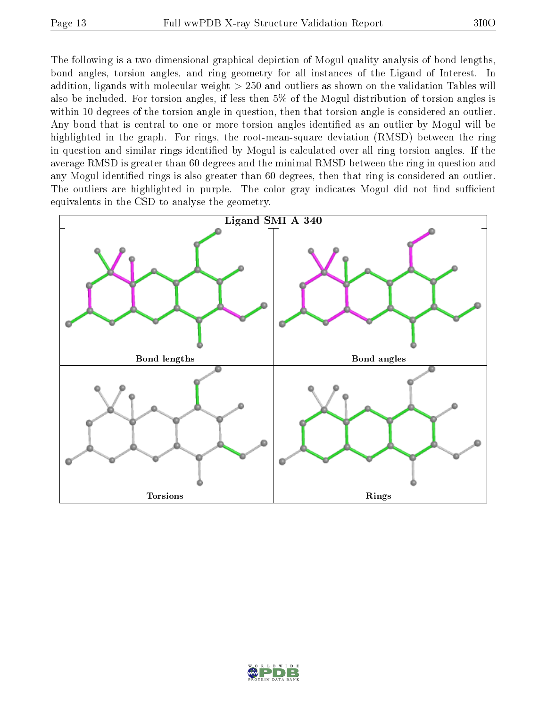The following is a two-dimensional graphical depiction of Mogul quality analysis of bond lengths, bond angles, torsion angles, and ring geometry for all instances of the Ligand of Interest. In addition, ligands with molecular weight > 250 and outliers as shown on the validation Tables will also be included. For torsion angles, if less then 5% of the Mogul distribution of torsion angles is within 10 degrees of the torsion angle in question, then that torsion angle is considered an outlier. Any bond that is central to one or more torsion angles identified as an outlier by Mogul will be highlighted in the graph. For rings, the root-mean-square deviation (RMSD) between the ring in question and similar rings identified by Mogul is calculated over all ring torsion angles. If the average RMSD is greater than 60 degrees and the minimal RMSD between the ring in question and any Mogul-identified rings is also greater than 60 degrees, then that ring is considered an outlier. The outliers are highlighted in purple. The color gray indicates Mogul did not find sufficient equivalents in the CSD to analyse the geometry.



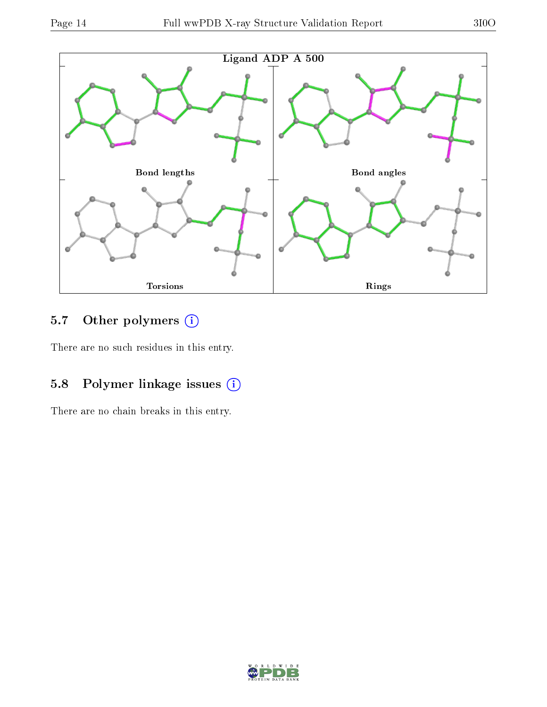

## 5.7 [O](https://www.wwpdb.org/validation/2017/XrayValidationReportHelp#nonstandard_residues_and_ligands)ther polymers (i)

There are no such residues in this entry.

### 5.8 Polymer linkage issues (i)

There are no chain breaks in this entry.

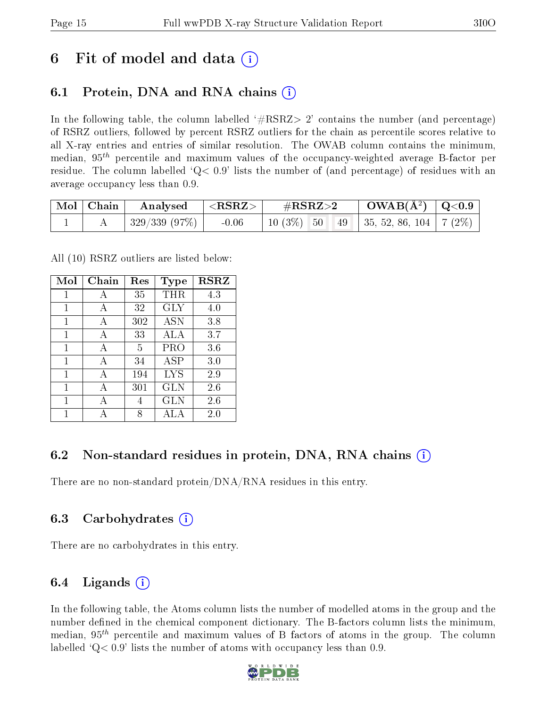## 6 Fit of model and data  $\left( \cdot \right)$

### 6.1 Protein, DNA and RNA chains (i)

In the following table, the column labelled  $#RSRZ>2'$  contains the number (and percentage) of RSRZ outliers, followed by percent RSRZ outliers for the chain as percentile scores relative to all X-ray entries and entries of similar resolution. The OWAB column contains the minimum, median,  $95<sup>th</sup>$  percentile and maximum values of the occupancy-weighted average B-factor per residue. The column labelled  $Q< 0.9$  lists the number of (and percentage) of residues with an average occupancy less than 0.9.

| $\mid$ Mol $\mid$ Chain | Analysed     | $ \langle \mathrm{RSRZ}\rangle $ | $\#\mathrm{RSRZ}{>}2$                      | $\text{OWAB}(\text{A}^2) \mid \text{Q}<0.9$ |  |
|-------------------------|--------------|----------------------------------|--------------------------------------------|---------------------------------------------|--|
|                         | 329/339(97%) | $-0.06$                          | 10 (3\%) 50 49   35, 52, 86, 104   7 (2\%) |                                             |  |

All (10) RSRZ outliers are listed below:

| Mol          | Chain | $\operatorname{Res}% \left( \mathcal{N}\right) \equiv\operatorname{Res}(\mathcal{N}_{0})\cap\mathcal{N}_{1}$ | Type         | <b>RSRZ</b> |
|--------------|-------|--------------------------------------------------------------------------------------------------------------|--------------|-------------|
| $\mathbf{1}$ | А     | 35                                                                                                           | THR          | 4.3         |
| 1            | А     | 32                                                                                                           | <b>GLY</b>   | 4.0         |
| 1            | A     | 302                                                                                                          | <b>ASN</b>   | 3.8         |
| 1            | A     | 33                                                                                                           | ALA          | 3.7         |
| 1            | A     | 5                                                                                                            | PRO          | 3.6         |
| 1            | A     | 34                                                                                                           | $_{\rm ASP}$ | 3.0         |
| 1            | A     | 194                                                                                                          | <b>LYS</b>   | 2.9         |
| 1            | А     | 301                                                                                                          | GLN          | 2.6         |
| 1            |       | 4                                                                                                            | GLN          | 2.6         |
| 1            |       | 8                                                                                                            | A L A        | $2.0\,$     |

### 6.2 Non-standard residues in protein, DNA, RNA chains (i)

There are no non-standard protein/DNA/RNA residues in this entry.

### 6.3 Carbohydrates (i)

There are no carbohydrates in this entry.

### 6.4 Ligands  $(i)$

In the following table, the Atoms column lists the number of modelled atoms in the group and the number defined in the chemical component dictionary. The B-factors column lists the minimum, median,  $95<sup>th</sup>$  percentile and maximum values of B factors of atoms in the group. The column labelled  $Q< 0.9$ ' lists the number of atoms with occupancy less than 0.9.

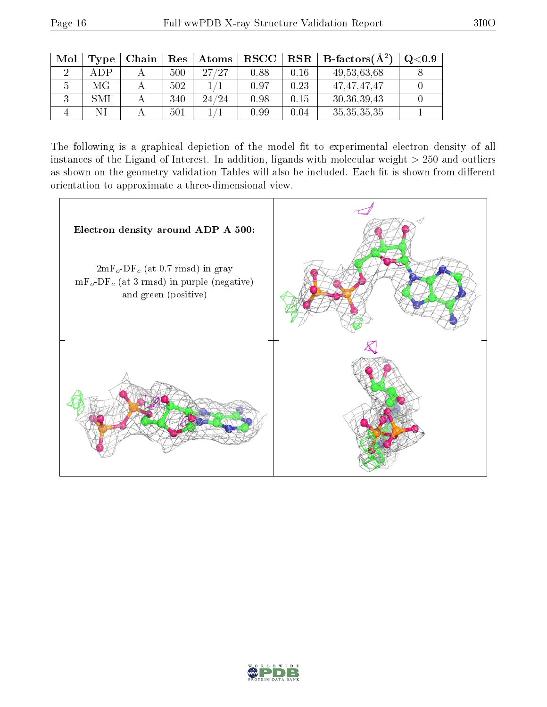| Mol | Type | Chain | Res | Atoms | $_{\rm RSCC}$ | <b>RSR</b> | $B\text{-factors}(\mathbf{A}^2)$ | $\mathrm{Q}{<}0.9$ |
|-----|------|-------|-----|-------|---------------|------------|----------------------------------|--------------------|
|     | ADP  |       | 500 | 27/27 | 0.88          | 0.16       | 49,53,63,68                      |                    |
|     | МG   |       | 502 |       | 0.97          | 0.23       | 47, 47, 47, 47                   |                    |
|     | SMI  |       | 340 | 24/24 | 0.98          | 0.15       | 30, 36, 39, 43                   |                    |
|     |      |       | 501 |       | 0.99          | 0.04       | 35, 35, 35, 35                   |                    |

The following is a graphical depiction of the model fit to experimental electron density of all instances of the Ligand of Interest. In addition, ligands with molecular weight  $> 250$  and outliers as shown on the geometry validation Tables will also be included. Each fit is shown from different orientation to approximate a three-dimensional view.